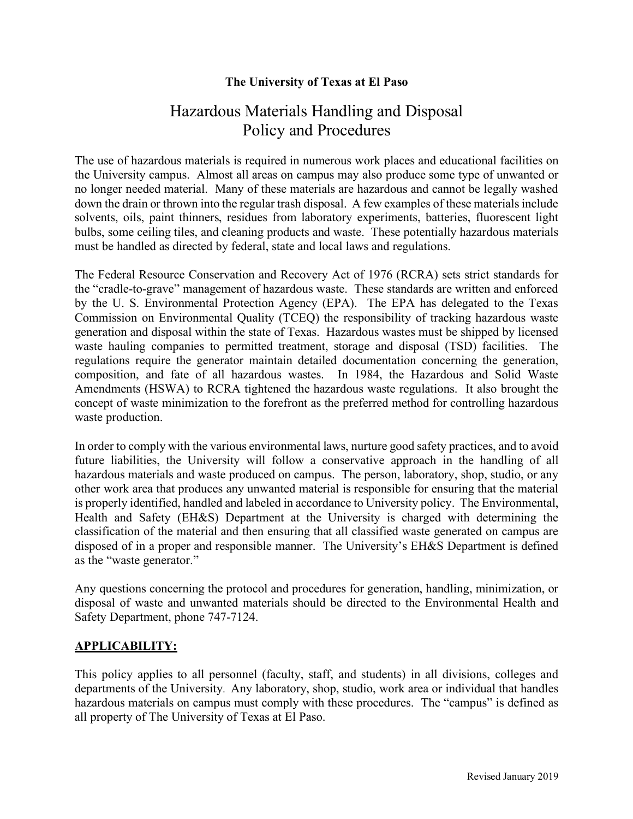# **The University of Texas at El Paso**

# Hazardous Materials Handling and Disposal Policy and Procedures

The use of hazardous materials is required in numerous work places and educational facilities on the University campus. Almost all areas on campus may also produce some type of unwanted or no longer needed material. Many of these materials are hazardous and cannot be legally washed down the drain or thrown into the regular trash disposal. A few examples of these materials include solvents, oils, paint thinners, residues from laboratory experiments, batteries, fluorescent light bulbs, some ceiling tiles, and cleaning products and waste. These potentially hazardous materials must be handled as directed by federal, state and local laws and regulations.

The Federal Resource Conservation and Recovery Act of 1976 (RCRA) sets strict standards for the "cradle-to-grave" management of hazardous waste. These standards are written and enforced by the U. S. Environmental Protection Agency (EPA). The EPA has delegated to the Texas Commission on Environmental Quality (TCEQ) the responsibility of tracking hazardous waste generation and disposal within the state of Texas. Hazardous wastes must be shipped by licensed waste hauling companies to permitted treatment, storage and disposal (TSD) facilities. The regulations require the generator maintain detailed documentation concerning the generation, composition, and fate of all hazardous wastes. In 1984, the Hazardous and Solid Waste Amendments (HSWA) to RCRA tightened the hazardous waste regulations. It also brought the concept of waste minimization to the forefront as the preferred method for controlling hazardous waste production.

In order to comply with the various environmental laws, nurture good safety practices, and to avoid future liabilities, the University will follow a conservative approach in the handling of all hazardous materials and waste produced on campus. The person, laboratory, shop, studio, or any other work area that produces any unwanted material is responsible for ensuring that the material is properly identified, handled and labeled in accordance to University policy. The Environmental, Health and Safety (EH&S) Department at the University is charged with determining the classification of the material and then ensuring that all classified waste generated on campus are disposed of in a proper and responsible manner. The University's EH&S Department is defined as the "waste generator."

Any questions concerning the protocol and procedures for generation, handling, minimization, or disposal of waste and unwanted materials should be directed to the Environmental Health and Safety Department, phone 747-7124.

# **APPLICABILITY:**

This policy applies to all personnel (faculty, staff, and students) in all divisions, colleges and departments of the University. Any laboratory, shop, studio, work area or individual that handles hazardous materials on campus must comply with these procedures. The "campus" is defined as all property of The University of Texas at El Paso.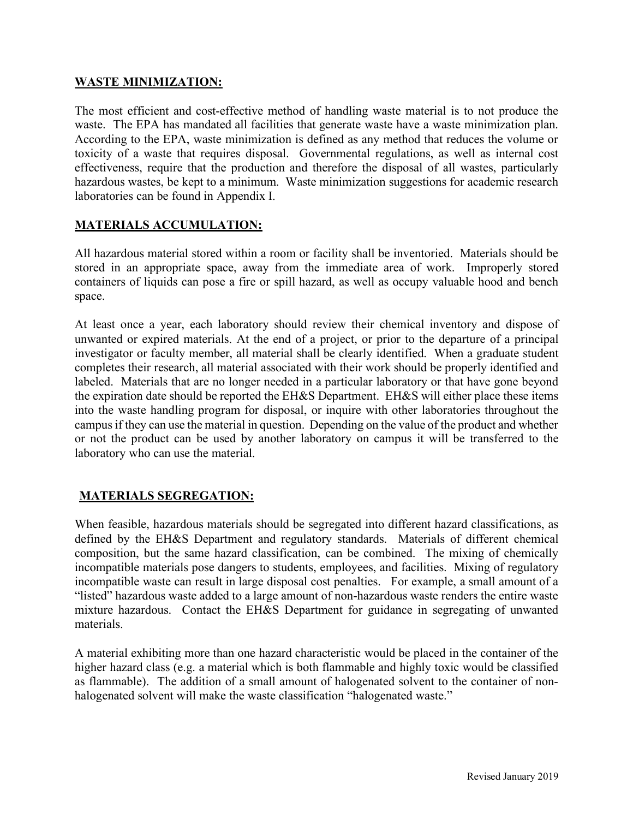### **WASTE MINIMIZATION:**

The most efficient and cost-effective method of handling waste material is to not produce the waste. The EPA has mandated all facilities that generate waste have a waste minimization plan. According to the EPA, waste minimization is defined as any method that reduces the volume or toxicity of a waste that requires disposal. Governmental regulations, as well as internal cost effectiveness, require that the production and therefore the disposal of all wastes, particularly hazardous wastes, be kept to a minimum. Waste minimization suggestions for academic research laboratories can be found in Appendix I.

### **MATERIALS ACCUMULATION:**

All hazardous material stored within a room or facility shall be inventoried. Materials should be stored in an appropriate space, away from the immediate area of work. Improperly stored containers of liquids can pose a fire or spill hazard, as well as occupy valuable hood and bench space.

At least once a year, each laboratory should review their chemical inventory and dispose of unwanted or expired materials. At the end of a project, or prior to the departure of a principal investigator or faculty member, all material shall be clearly identified. When a graduate student completes their research, all material associated with their work should be properly identified and labeled. Materials that are no longer needed in a particular laboratory or that have gone beyond the expiration date should be reported the EH&S Department. EH&S will either place these items into the waste handling program for disposal, or inquire with other laboratories throughout the campusif they can use the material in question. Depending on the value of the product and whether or not the product can be used by another laboratory on campus it will be transferred to the laboratory who can use the material.

# **MATERIALS SEGREGATION:**

When feasible, hazardous materials should be segregated into different hazard classifications, as defined by the EH&S Department and regulatory standards. Materials of different chemical composition, but the same hazard classification, can be combined. The mixing of chemically incompatible materials pose dangers to students, employees, and facilities. Mixing of regulatory incompatible waste can result in large disposal cost penalties. For example, a small amount of a "listed" hazardous waste added to a large amount of non-hazardous waste renders the entire waste mixture hazardous. Contact the EH&S Department for guidance in segregating of unwanted materials.

A material exhibiting more than one hazard characteristic would be placed in the container of the higher hazard class (e.g. a material which is both flammable and highly toxic would be classified as flammable). The addition of a small amount of halogenated solvent to the container of nonhalogenated solvent will make the waste classification "halogenated waste."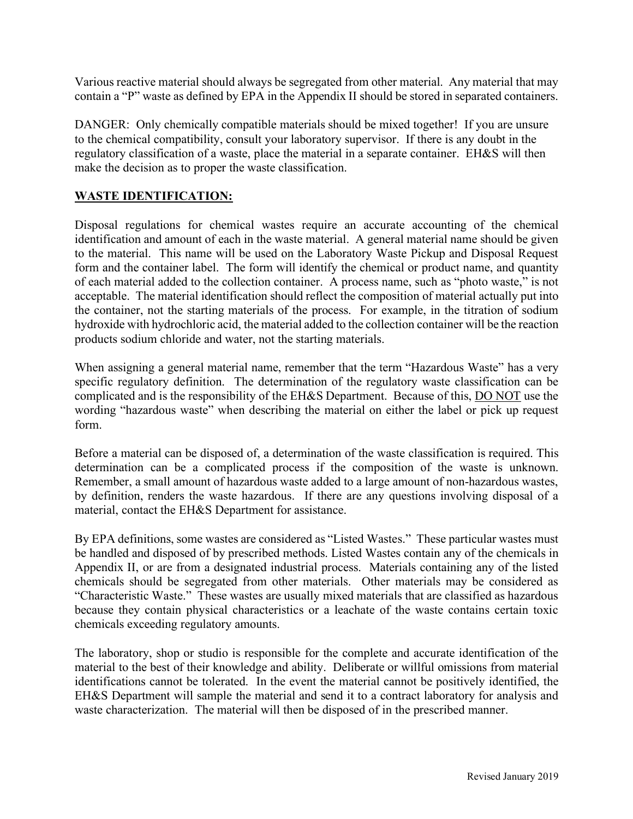Various reactive material should always be segregated from other material. Any material that may contain a "P" waste as defined by EPA in the Appendix II should be stored in separated containers.

DANGER: Only chemically compatible materials should be mixed together! If you are unsure to the chemical compatibility, consult your laboratory supervisor. If there is any doubt in the regulatory classification of a waste, place the material in a separate container. EH&S will then make the decision as to proper the waste classification.

## **WASTE IDENTIFICATION:**

Disposal regulations for chemical wastes require an accurate accounting of the chemical identification and amount of each in the waste material. A general material name should be given to the material. This name will be used on the Laboratory Waste Pickup and Disposal Request form and the container label. The form will identify the chemical or product name, and quantity of each material added to the collection container. A process name, such as "photo waste," is not acceptable. The material identification should reflect the composition of material actually put into the container, not the starting materials of the process. For example, in the titration of sodium hydroxide with hydrochloric acid, the material added to the collection container will be the reaction products sodium chloride and water, not the starting materials.

When assigning a general material name, remember that the term "Hazardous Waste" has a very specific regulatory definition. The determination of the regulatory waste classification can be complicated and is the responsibility of the EH&S Department. Because of this, DO NOT use the wording "hazardous waste" when describing the material on either the label or pick up request form.

Before a material can be disposed of, a determination of the waste classification is required. This determination can be a complicated process if the composition of the waste is unknown. Remember, a small amount of hazardous waste added to a large amount of non-hazardous wastes, by definition, renders the waste hazardous. If there are any questions involving disposal of a material, contact the EH&S Department for assistance.

By EPA definitions, some wastes are considered as "Listed Wastes." These particular wastes must be handled and disposed of by prescribed methods. Listed Wastes contain any of the chemicals in Appendix II, or are from a designated industrial process. Materials containing any of the listed chemicals should be segregated from other materials. Other materials may be considered as "Characteristic Waste." These wastes are usually mixed materials that are classified as hazardous because they contain physical characteristics or a leachate of the waste contains certain toxic chemicals exceeding regulatory amounts.

The laboratory, shop or studio is responsible for the complete and accurate identification of the material to the best of their knowledge and ability. Deliberate or willful omissions from material identifications cannot be tolerated. In the event the material cannot be positively identified, the EH&S Department will sample the material and send it to a contract laboratory for analysis and waste characterization. The material will then be disposed of in the prescribed manner.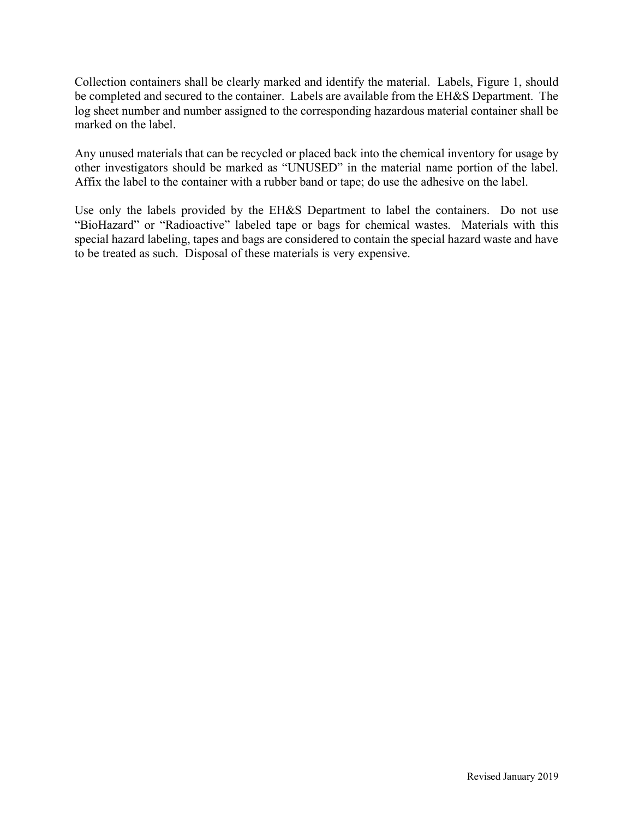Collection containers shall be clearly marked and identify the material. Labels, Figure 1, should be completed and secured to the container. Labels are available from the EH&S Department. The log sheet number and number assigned to the corresponding hazardous material container shall be marked on the label.

Any unused materials that can be recycled or placed back into the chemical inventory for usage by other investigators should be marked as "UNUSED" in the material name portion of the label. Affix the label to the container with a rubber band or tape; do use the adhesive on the label.

Use only the labels provided by the EH&S Department to label the containers. Do not use "BioHazard" or "Radioactive" labeled tape or bags for chemical wastes. Materials with this special hazard labeling, tapes and bags are considered to contain the special hazard waste and have to be treated as such. Disposal of these materials is very expensive.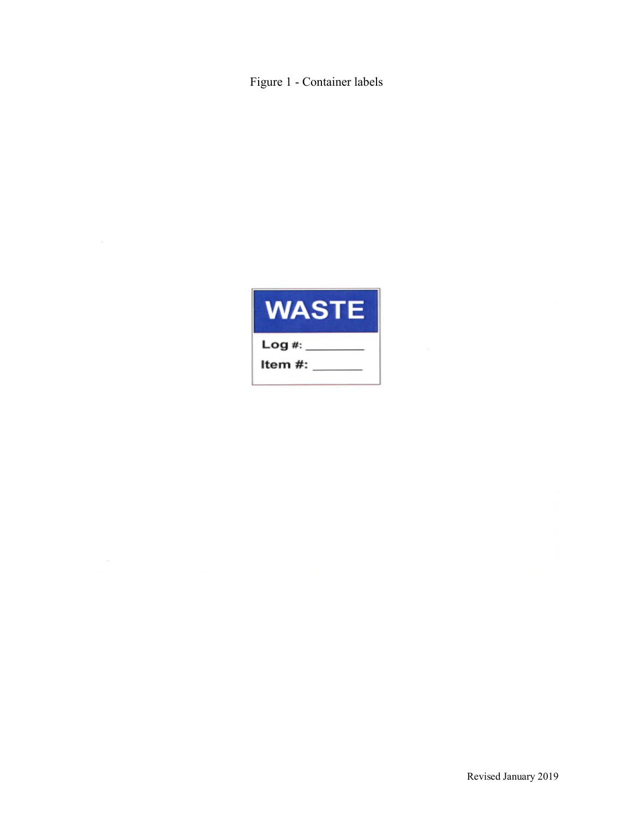Figure 1 - Container labels

| VAST    |
|---------|
| Log #:  |
| ltem #: |
|         |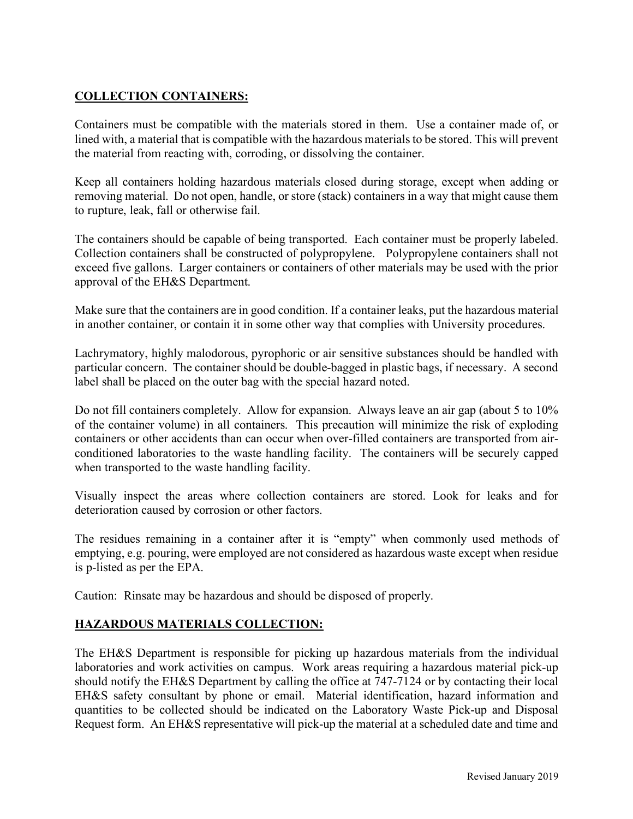# **COLLECTION CONTAINERS:**

Containers must be compatible with the materials stored in them. Use a container made of, or lined with, a material that is compatible with the hazardous materials to be stored. This will prevent the material from reacting with, corroding, or dissolving the container.

Keep all containers holding hazardous materials closed during storage, except when adding or removing material. Do not open, handle, or store (stack) containers in a way that might cause them to rupture, leak, fall or otherwise fail.

The containers should be capable of being transported. Each container must be properly labeled. Collection containers shall be constructed of polypropylene. Polypropylene containers shall not exceed five gallons. Larger containers or containers of other materials may be used with the prior approval of the EH&S Department.

Make sure that the containers are in good condition. If a container leaks, put the hazardous material in another container, or contain it in some other way that complies with University procedures.

Lachrymatory, highly malodorous, pyrophoric or air sensitive substances should be handled with particular concern. The container should be double-bagged in plastic bags, if necessary. A second label shall be placed on the outer bag with the special hazard noted.

Do not fill containers completely. Allow for expansion. Always leave an air gap (about 5 to 10% of the container volume) in all containers. This precaution will minimize the risk of exploding containers or other accidents than can occur when over-filled containers are transported from airconditioned laboratories to the waste handling facility. The containers will be securely capped when transported to the waste handling facility.

Visually inspect the areas where collection containers are stored. Look for leaks and for deterioration caused by corrosion or other factors.

The residues remaining in a container after it is "empty" when commonly used methods of emptying, e.g. pouring, were employed are not considered as hazardous waste except when residue is p-listed as per the EPA.

Caution: Rinsate may be hazardous and should be disposed of properly.

# **HAZARDOUS MATERIALS COLLECTION:**

The EH&S Department is responsible for picking up hazardous materials from the individual laboratories and work activities on campus. Work areas requiring a hazardous material pick-up should notify the EH&S Department by calling the office at 747-7124 or by contacting their local EH&S safety consultant by phone or email. Material identification, hazard information and quantities to be collected should be indicated on the Laboratory Waste Pick-up and Disposal Request form. An EH&S representative will pick-up the material at a scheduled date and time and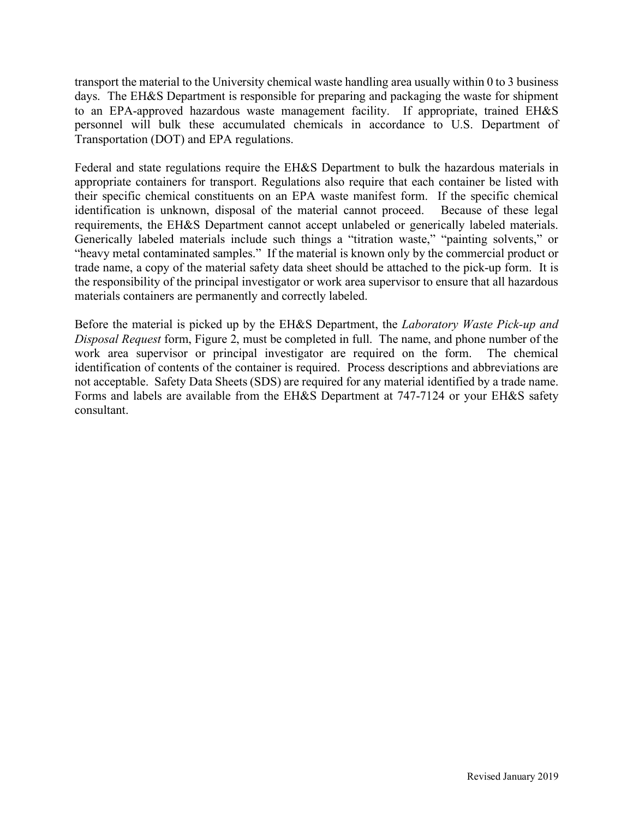transport the material to the University chemical waste handling area usually within 0 to 3 business days. The EH&S Department is responsible for preparing and packaging the waste for shipment to an EPA-approved hazardous waste management facility. If appropriate, trained EH&S personnel will bulk these accumulated chemicals in accordance to U.S. Department of Transportation (DOT) and EPA regulations.

Federal and state regulations require the EH&S Department to bulk the hazardous materials in appropriate containers for transport. Regulations also require that each container be listed with their specific chemical constituents on an EPA waste manifest form. If the specific chemical identification is unknown, disposal of the material cannot proceed. Because of these legal requirements, the EH&S Department cannot accept unlabeled or generically labeled materials. Generically labeled materials include such things a "titration waste," "painting solvents," or "heavy metal contaminated samples." If the material is known only by the commercial product or trade name, a copy of the material safety data sheet should be attached to the pick-up form. It is the responsibility of the principal investigator or work area supervisor to ensure that all hazardous materials containers are permanently and correctly labeled.

Before the material is picked up by the EH&S Department, the *Laboratory Waste Pick-up and Disposal Request* form, Figure 2, must be completed in full. The name, and phone number of the work area supervisor or principal investigator are required on the form. The chemical identification of contents of the container is required. Process descriptions and abbreviations are not acceptable. Safety Data Sheets (SDS) are required for any material identified by a trade name. Forms and labels are available from the EH&S Department at 747-7124 or your EH&S safety consultant.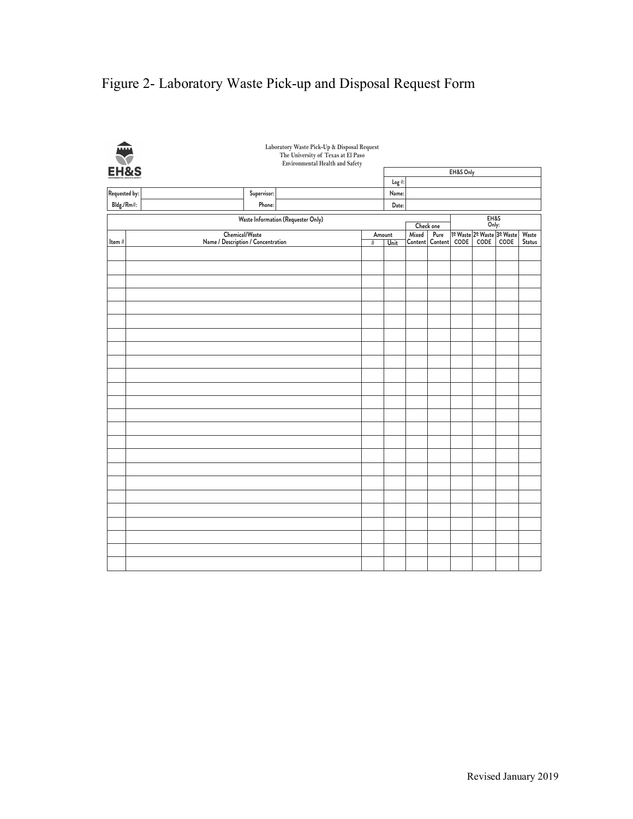# Figure 2- Laboratory Waste Pick-up and Disposal Request Form

| 乗                               |                                    |                | Laboratory Waste Pick-Up & Disposal Request<br>The University of Texas at El Paso<br><b>Environmental Health and Safety</b> |        |          |           |                 |           |                            |                 |        |
|---------------------------------|------------------------------------|----------------|-----------------------------------------------------------------------------------------------------------------------------|--------|----------|-----------|-----------------|-----------|----------------------------|-----------------|--------|
| <b>EH&amp;S</b>                 |                                    |                |                                                                                                                             |        |          |           |                 | EH&S Only |                            |                 |        |
|                                 |                                    |                |                                                                                                                             |        | $Log$ #: |           |                 |           |                            |                 |        |
| Requested by:                   |                                    | Supervisor:    |                                                                                                                             |        | Name:    |           |                 |           |                            |                 |        |
| $\mathsf{Bldg}.\mathsf{/Rm}\#:$ |                                    | Phone:         |                                                                                                                             |        | Date:    |           |                 |           |                            |                 |        |
|                                 |                                    |                | Waste Information (Requester Only)                                                                                          |        |          | Check one |                 |           | EH&S<br>Only:              |                 |        |
|                                 |                                    | Chemical/Waste |                                                                                                                             | Amount |          | Mixed     | Pure            |           | 1º Waste 2º Waste 3º Waste |                 | Waste  |
| Item#                           | Name / Description / Concentration |                |                                                                                                                             | #      | Unit     |           | Content Content | CODE      | $\mathsf{CODE}$            | $\mathsf{CODE}$ | Status |
|                                 |                                    |                |                                                                                                                             |        |          |           |                 |           |                            |                 |        |
|                                 |                                    |                |                                                                                                                             |        |          |           |                 |           |                            |                 |        |
|                                 |                                    |                |                                                                                                                             |        |          |           |                 |           |                            |                 |        |
|                                 |                                    |                |                                                                                                                             |        |          |           |                 |           |                            |                 |        |
|                                 |                                    |                |                                                                                                                             |        |          |           |                 |           |                            |                 |        |
|                                 |                                    |                |                                                                                                                             |        |          |           |                 |           |                            |                 |        |
|                                 |                                    |                |                                                                                                                             |        |          |           |                 |           |                            |                 |        |
|                                 |                                    |                |                                                                                                                             |        |          |           |                 |           |                            |                 |        |
|                                 |                                    |                |                                                                                                                             |        |          |           |                 |           |                            |                 |        |
|                                 |                                    |                |                                                                                                                             |        |          |           |                 |           |                            |                 |        |
|                                 |                                    |                |                                                                                                                             |        |          |           |                 |           |                            |                 |        |
|                                 |                                    |                |                                                                                                                             |        |          |           |                 |           |                            |                 |        |
|                                 |                                    |                |                                                                                                                             |        |          |           |                 |           |                            |                 |        |
|                                 |                                    |                |                                                                                                                             |        |          |           |                 |           |                            |                 |        |
|                                 |                                    |                |                                                                                                                             |        |          |           |                 |           |                            |                 |        |
|                                 |                                    |                |                                                                                                                             |        |          |           |                 |           |                            |                 |        |
|                                 |                                    |                |                                                                                                                             |        |          |           |                 |           |                            |                 |        |
|                                 |                                    |                |                                                                                                                             |        |          |           |                 |           |                            |                 |        |
|                                 |                                    |                |                                                                                                                             |        |          |           |                 |           |                            |                 |        |
|                                 |                                    |                |                                                                                                                             |        |          |           |                 |           |                            |                 |        |
|                                 |                                    |                |                                                                                                                             |        |          |           |                 |           |                            |                 |        |
|                                 |                                    |                |                                                                                                                             |        |          |           |                 |           |                            |                 |        |
|                                 |                                    |                |                                                                                                                             |        |          |           |                 |           |                            |                 |        |
|                                 |                                    |                |                                                                                                                             |        |          |           |                 |           |                            |                 |        |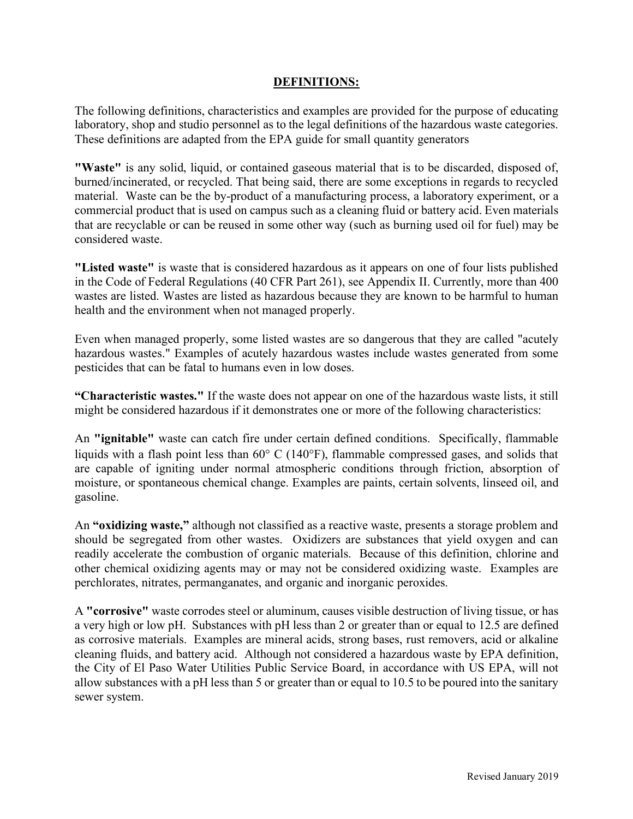### **DEFINITIONS:**

The following definitions, characteristics and examples are provided for the purpose of educating laboratory, shop and studio personnel as to the legal definitions of the hazardous waste categories. These definitions are adapted from the EPA guide for small quantity generators

**"Waste"** is any solid, liquid, or contained gaseous material that is to be discarded, disposed of, burned/incinerated, or recycled. That being said, there are some exceptions in regards to recycled material. Waste can be the by-product of a manufacturing process, a laboratory experiment, or a commercial product that is used on campus such as a cleaning fluid or battery acid. Even materials that are recyclable or can be reused in some other way (such as burning used oil for fuel) may be considered waste.

**"Listed waste"** is waste that is considered hazardous as it appears on one of four lists published in the Code of Federal Regulations (40 CFR Part 261), see Appendix II. Currently, more than 400 wastes are listed. Wastes are listed as hazardous because they are known to be harmful to human health and the environment when not managed properly.

Even when managed properly, some listed wastes are so dangerous that they are called "acutely hazardous wastes." Examples of acutely hazardous wastes include wastes generated from some pesticides that can be fatal to humans even in low doses.

**"Characteristic wastes."** If the waste does not appear on one of the hazardous waste lists, it still might be considered hazardous if it demonstrates one or more of the following characteristics:

An **"ignitable"** waste can catch fire under certain defined conditions. Specifically, flammable liquids with a flash point less than 60° C (140°F), flammable compressed gases, and solids that are capable of igniting under normal atmospheric conditions through friction, absorption of moisture, or spontaneous chemical change. Examples are paints, certain solvents, linseed oil, and gasoline.

An **"oxidizing waste,"** although not classified as a reactive waste, presents a storage problem and should be segregated from other wastes. Oxidizers are substances that yield oxygen and can readily accelerate the combustion of organic materials. Because of this definition, chlorine and other chemical oxidizing agents may or may not be considered oxidizing waste. Examples are perchlorates, nitrates, permanganates, and organic and inorganic peroxides.

A **"corrosive"** waste corrodes steel or aluminum, causes visible destruction of living tissue, or has a very high or low pH. Substances with pH less than 2 or greater than or equal to 12.5 are defined as corrosive materials. Examples are mineral acids, strong bases, rust removers, acid or alkaline cleaning fluids, and battery acid. Although not considered a hazardous waste by EPA definition, the City of El Paso Water Utilities Public Service Board, in accordance with US EPA, will not allow substances with a pH less than 5 or greater than or equal to 10.5 to be poured into the sanitary sewer system.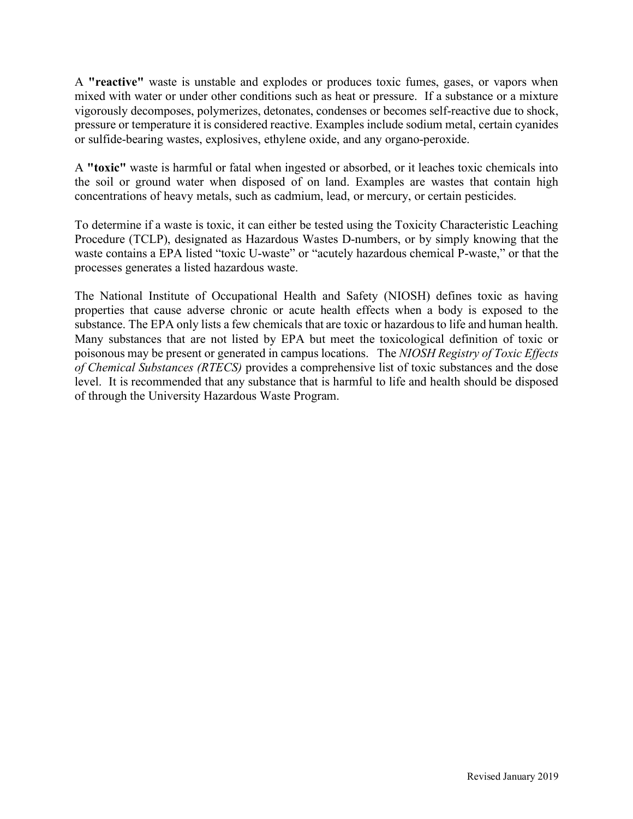A **"reactive"** waste is unstable and explodes or produces toxic fumes, gases, or vapors when mixed with water or under other conditions such as heat or pressure. If a substance or a mixture vigorously decomposes, polymerizes, detonates, condenses or becomes self-reactive due to shock, pressure or temperature it is considered reactive. Examples include sodium metal, certain cyanides or sulfide-bearing wastes, explosives, ethylene oxide, and any organo-peroxide.

A **"toxic"** waste is harmful or fatal when ingested or absorbed, or it leaches toxic chemicals into the soil or ground water when disposed of on land. Examples are wastes that contain high concentrations of heavy metals, such as cadmium, lead, or mercury, or certain pesticides.

To determine if a waste is toxic, it can either be tested using the Toxicity Characteristic Leaching Procedure (TCLP), designated as Hazardous Wastes D-numbers, or by simply knowing that the waste contains a EPA listed "toxic U-waste" or "acutely hazardous chemical P-waste," or that the processes generates a listed hazardous waste.

The National Institute of Occupational Health and Safety (NIOSH) defines toxic as having properties that cause adverse chronic or acute health effects when a body is exposed to the substance. The EPA only lists a few chemicals that are toxic or hazardous to life and human health. Many substances that are not listed by EPA but meet the toxicological definition of toxic or poisonous may be present or generated in campus locations. The *NIOSH Registry of Toxic Effects of Chemical Substances (RTECS)* provides a comprehensive list of toxic substances and the dose level. It is recommended that any substance that is harmful to life and health should be disposed of through the University Hazardous Waste Program.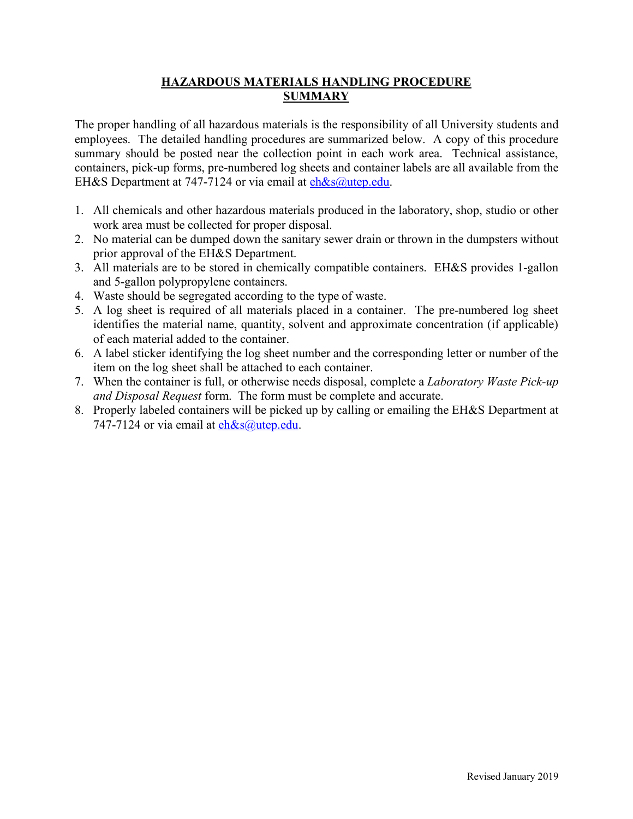# **HAZARDOUS MATERIALS HANDLING PROCEDURE SUMMARY**

The proper handling of all hazardous materials is the responsibility of all University students and employees. The detailed handling procedures are summarized below. A copy of this procedure summary should be posted near the collection point in each work area. Technical assistance, containers, pick-up forms, pre-numbered log sheets and container labels are all available from the EH&S Department at 747-7124 or via email at eh&s@utep.edu.

- 1. All chemicals and other hazardous materials produced in the laboratory, shop, studio or other work area must be collected for proper disposal.
- 2. No material can be dumped down the sanitary sewer drain or thrown in the dumpsters without prior approval of the EH&S Department.
- 3. All materials are to be stored in chemically compatible containers. EH&S provides 1-gallon and 5-gallon polypropylene containers.
- 4. Waste should be segregated according to the type of waste.
- 5. A log sheet is required of all materials placed in a container. The pre-numbered log sheet identifies the material name, quantity, solvent and approximate concentration (if applicable) of each material added to the container.
- 6. A label sticker identifying the log sheet number and the corresponding letter or number of the item on the log sheet shall be attached to each container.
- 7. When the container is full, or otherwise needs disposal, complete a *Laboratory Waste Pick-up and Disposal Request* form. The form must be complete and accurate.
- 8. Properly labeled containers will be picked up by calling or emailing the EH&S Department at 747-7124 or via email at  $eh&s@$ utep.edu.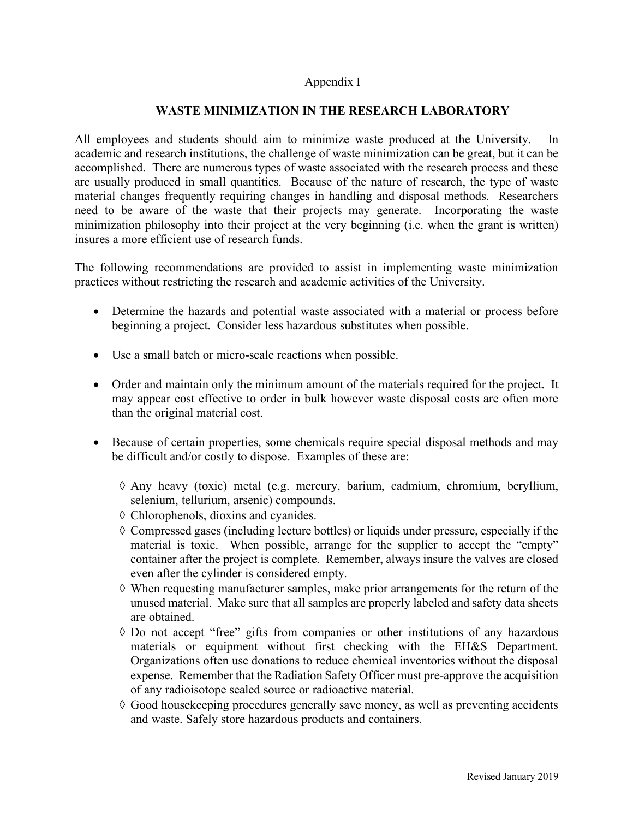#### Appendix I

### **WASTE MINIMIZATION IN THE RESEARCH LABORATORY**

All employees and students should aim to minimize waste produced at the University. In academic and research institutions, the challenge of waste minimization can be great, but it can be accomplished. There are numerous types of waste associated with the research process and these are usually produced in small quantities. Because of the nature of research, the type of waste material changes frequently requiring changes in handling and disposal methods. Researchers need to be aware of the waste that their projects may generate. Incorporating the waste minimization philosophy into their project at the very beginning (i.e. when the grant is written) insures a more efficient use of research funds.

The following recommendations are provided to assist in implementing waste minimization practices without restricting the research and academic activities of the University.

- Determine the hazards and potential waste associated with a material or process before beginning a project. Consider less hazardous substitutes when possible.
- Use a small batch or micro-scale reactions when possible.
- Order and maintain only the minimum amount of the materials required for the project. It may appear cost effective to order in bulk however waste disposal costs are often more than the original material cost.
- Because of certain properties, some chemicals require special disposal methods and may be difficult and/or costly to dispose. Examples of these are:
	- à Any heavy (toxic) metal (e.g. mercury, barium, cadmium, chromium, beryllium, selenium, tellurium, arsenic) compounds.
	- à Chlorophenols, dioxins and cyanides.
	- $\Diamond$  Compressed gases (including lecture bottles) or liquids under pressure, especially if the material is toxic. When possible, arrange for the supplier to accept the "empty" container after the project is complete. Remember, always insure the valves are closed even after the cylinder is considered empty.
	- $\Diamond$  When requesting manufacturer samples, make prior arrangements for the return of the unused material. Make sure that all samples are properly labeled and safety data sheets are obtained.
	- à Do not accept "free" gifts from companies or other institutions of any hazardous materials or equipment without first checking with the EH&S Department. Organizations often use donations to reduce chemical inventories without the disposal expense. Remember that the Radiation Safety Officer must pre-approve the acquisition of any radioisotope sealed source or radioactive material.
	- à Good housekeeping procedures generally save money, as well as preventing accidents and waste. Safely store hazardous products and containers.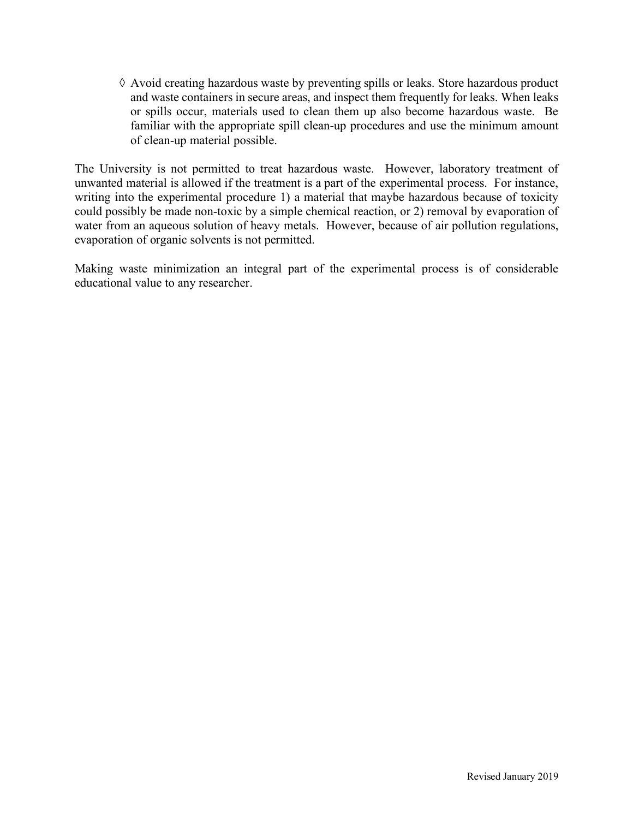$\Diamond$  Avoid creating hazardous waste by preventing spills or leaks. Store hazardous product and waste containers in secure areas, and inspect them frequently for leaks. When leaks or spills occur, materials used to clean them up also become hazardous waste. Be familiar with the appropriate spill clean-up procedures and use the minimum amount of clean-up material possible.

The University is not permitted to treat hazardous waste. However, laboratory treatment of unwanted material is allowed if the treatment is a part of the experimental process. For instance, writing into the experimental procedure 1) a material that maybe hazardous because of toxicity could possibly be made non-toxic by a simple chemical reaction, or 2) removal by evaporation of water from an aqueous solution of heavy metals. However, because of air pollution regulations, evaporation of organic solvents is not permitted.

Making waste minimization an integral part of the experimental process is of considerable educational value to any researcher.